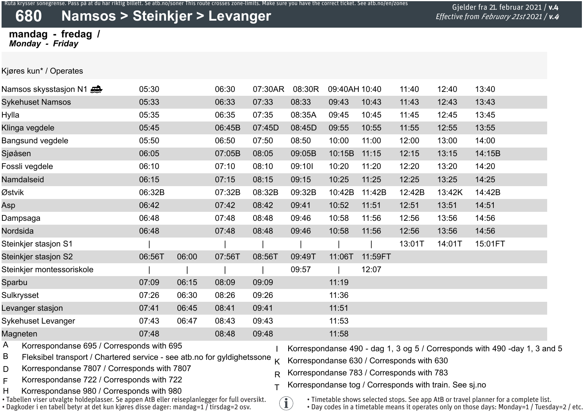# **680 Namsos > Steinkjer > Levanger**

#### **mandag - fredag /** *Monday - Friday*

Kjøres kun\* / Operates

| Namsos skysstasjon N1     | 05:30  |       | 06:30  | 07:30AR | 08:30R | 09:40AH 10:40 |         | 11:40  | 12:40  | 13:40   |
|---------------------------|--------|-------|--------|---------|--------|---------------|---------|--------|--------|---------|
| <b>Sykehuset Namsos</b>   | 05:33  |       | 06:33  | 07:33   | 08:33  | 09:43         | 10:43   | 11:43  | 12:43  | 13:43   |
| Hylla                     | 05:35  |       | 06:35  | 07:35   | 08:35A | 09:45         | 10:45   | 11:45  | 12:45  | 13:45   |
| Klinga vegdele            | 05:45  |       | 06:45B | 07:45D  | 08:45D | 09:55         | 10:55   | 11:55  | 12:55  | 13:55   |
| Bangsund vegdele          | 05:50  |       | 06:50  | 07:50   | 08:50  | 10:00         | 11:00   | 12:00  | 13:00  | 14:00   |
| Sjøåsen                   | 06:05  |       | 07:05B | 08:05   | 09:05B | 10:15B        | 11:15   | 12:15  | 13:15  | 14:15B  |
| Fossli vegdele            | 06:10  |       | 07:10  | 08:10   | 09:101 | 10:20         | 11:20   | 12:20  | 13:20  | 14:20   |
| Namdalseid                | 06:15  |       | 07:15  | 08:15   | 09:15  | 10:25         | 11:25   | 12:25  | 13:25  | 14:25   |
| Østvik                    | 06:32B |       | 07:32B | 08:32B  | 09:32B | 10:42B        | 11:42B  | 12:42B | 13:42K | 14:42B  |
| Asp                       | 06:42  |       | 07:42  | 08:42   | 09:41  | 10:52         | 11:51   | 12:51  | 13:51  | 14:51   |
| Dampsaga                  | 06:48  |       | 07:48  | 08:48   | 09:46  | 10:58         | 11:56   | 12:56  | 13:56  | 14:56   |
| Nordsida                  | 06:48  |       | 07:48  | 08:48   | 09:46  | 10:58         | 11:56   | 12:56  | 13:56  | 14:56   |
| Steinkjer stasjon S1      |        |       |        |         |        |               |         | 13:01T | 14:01T | 15:01FT |
| Steinkjer stasjon S2      | 06:56T | 06:00 | 07:56T | 08:56T  | 09:49T | 11:06T        | 11:59FT |        |        |         |
| Steinkjer montessoriskole |        |       |        |         | 09:57  |               | 12:07   |        |        |         |
| Sparbu                    | 07:09  | 06:15 | 08:09  | 09:09   |        | 11:19         |         |        |        |         |
| Sulkrysset                | 07:26  | 06:30 | 08:26  | 09:26   |        | 11:36         |         |        |        |         |
| Levanger stasjon          | 07:41  | 06:45 | 08:41  | 09:41   |        | 11:51         |         |        |        |         |
| Sykehuset Levanger        | 07:43  | 06:47 | 08:43  | 09:43   |        | 11:53         |         |        |        |         |
| Magneten                  | 07:48  |       | 08:48  | 09:48   |        | 11:58         |         |        |        |         |

 $\widehat{\mathbf{1}}$ 

A Korrespondanse 695 / Corresponds with 695

- B Fleksibel transport / Chartered service - see atb.no for gyldighetssone K
- D Korrespondanse 7807 / Corresponds with 7807

F Korrespondanse 722 / Corresponds with 722

H Korrespondanse 980 / Corresponds with 980

• Tabellen viser utvalgte holdeplasser. Se appen AtB eller reiseplanlegger for full oversikt.

• Dagkoder i en tabell betyr at det kun kjøres disse dager: mandag=1 / tirsdag=2 osv.

I Korrespondanse 490 - dag 1, 3 og 5 / Corresponds with 490 -day 1, 3 and 5

Korrespondanse 630 / Corresponds with 630

R Korrespondanse 783 / Corresponds with 783

T Korrespondanse tog / Corresponds with train. See sj.no

• Timetable shows selected stops. See app AtB or travel planner for a complete list.

• Day codes in a timetable means it operates only on those days: Monday=1 / Tuesday=2 / etc.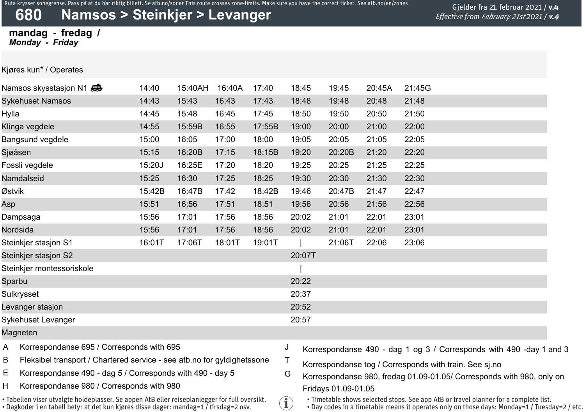## **680 Namsos > Steinkjer > Levanger**

### **mandag - fredag /** *Monday - Friday*

Kjøres kun\* / Operates

| Namsos skysstasjon N1                                                                                                                                                                       | 14:40  | 15:40AH | 16:40A | 17:40                 | 18:45  | 19:45                                                                                                                                                                                                             | 20:45A | 21:45G                                                              |  |  |  |
|---------------------------------------------------------------------------------------------------------------------------------------------------------------------------------------------|--------|---------|--------|-----------------------|--------|-------------------------------------------------------------------------------------------------------------------------------------------------------------------------------------------------------------------|--------|---------------------------------------------------------------------|--|--|--|
| <b>Sykehuset Namsos</b>                                                                                                                                                                     | 14:43  | 15:43   | 16:43  | 17:43                 | 18:48  | 19:48                                                                                                                                                                                                             | 20:48  | 21:48                                                               |  |  |  |
| Hylla                                                                                                                                                                                       | 14:45  | 15:48   | 16:45  | 17:45                 | 18:50  | 19:50                                                                                                                                                                                                             | 20:50  | 21:50                                                               |  |  |  |
| Klinga vegdele                                                                                                                                                                              | 14:55  | 15:59B  | 16:55  | 17:55B                | 19:00  | 20:00                                                                                                                                                                                                             | 21:00  | 22:00                                                               |  |  |  |
| Bangsund vegdele                                                                                                                                                                            | 15:00  | 16:05   | 17:00  | 18:00                 | 19:05  | 20:05                                                                                                                                                                                                             | 21:05  | 22:05                                                               |  |  |  |
| Sjøåsen                                                                                                                                                                                     | 15:15  | 16:20B  | 17:15  | 18:15B                | 19:20  | 20:20B                                                                                                                                                                                                            | 21:20  | 22:20                                                               |  |  |  |
| Fossli vegdele                                                                                                                                                                              | 15:20J | 16:25E  | 17:20  | 18:20                 | 19:25  | 20:25                                                                                                                                                                                                             | 21:25  | 22:25                                                               |  |  |  |
| Namdalseid                                                                                                                                                                                  | 15:25  | 16:30   | 17:25  | 18:25                 | 19:30  | 20:30                                                                                                                                                                                                             | 21:30  | 22:30                                                               |  |  |  |
| Østvik                                                                                                                                                                                      | 15:42B | 16:47B  | 17:42  | 18:42B                | 19:46  | 20:47B                                                                                                                                                                                                            | 21:47  | 22:47                                                               |  |  |  |
| Asp                                                                                                                                                                                         | 15:51  | 16:56   | 17:51  | 18:51                 | 19:56  | 20:56                                                                                                                                                                                                             | 21:56  | 22:56                                                               |  |  |  |
| Dampsaga                                                                                                                                                                                    | 15:56  | 17:01   | 17:56  | 18:56                 | 20:02  | 21:01                                                                                                                                                                                                             | 22:01  | 23:01                                                               |  |  |  |
| Nordsida                                                                                                                                                                                    | 15:56  | 17:01   | 17:56  | 18:56                 | 20:02  | 21:01                                                                                                                                                                                                             | 22:01  | 23:01                                                               |  |  |  |
| Steinkjer stasjon S1                                                                                                                                                                        | 16:01T | 17:06T  | 18:01T | 19:01T                |        | 21:06T                                                                                                                                                                                                            | 22:06  | 23:06                                                               |  |  |  |
| Steinkjer stasjon S2                                                                                                                                                                        |        |         |        |                       | 20:07T |                                                                                                                                                                                                                   |        |                                                                     |  |  |  |
| Steinkjer montessoriskole                                                                                                                                                                   |        |         |        |                       |        |                                                                                                                                                                                                                   |        |                                                                     |  |  |  |
| Sparbu                                                                                                                                                                                      |        |         |        |                       | 20:22  |                                                                                                                                                                                                                   |        |                                                                     |  |  |  |
| Sulkrysset                                                                                                                                                                                  |        |         |        |                       | 20:37  |                                                                                                                                                                                                                   |        |                                                                     |  |  |  |
| Levanger stasjon                                                                                                                                                                            |        |         |        |                       | 20:52  |                                                                                                                                                                                                                   |        |                                                                     |  |  |  |
| Sykehuset Levanger                                                                                                                                                                          |        |         |        |                       | 20:57  |                                                                                                                                                                                                                   |        |                                                                     |  |  |  |
| Magneten                                                                                                                                                                                    |        |         |        |                       |        |                                                                                                                                                                                                                   |        |                                                                     |  |  |  |
| Α<br>Korrespondanse 695 / Corresponds with 695                                                                                                                                              |        |         |        | J                     |        |                                                                                                                                                                                                                   |        | Korrespondanse 490 - dag 1 og 3 / Corresponds with 490 -day 1 and 3 |  |  |  |
| B<br>Fleksibel transport / Chartered service - see atb.no for gyldighetssone                                                                                                                |        |         |        | Τ                     |        |                                                                                                                                                                                                                   |        |                                                                     |  |  |  |
| Е<br>Korrespondanse 490 - dag 5 / Corresponds with 490 - day 5                                                                                                                              |        |         |        | G                     |        | Korrespondanse tog / Corresponds with train. See sj.no<br>Korrespondanse 980, fredag 01.09-01.05/ Corresponds with 980, only on                                                                                   |        |                                                                     |  |  |  |
| Korrespondanse 980 / Corresponds with 980<br>н                                                                                                                                              |        |         |        |                       |        |                                                                                                                                                                                                                   |        |                                                                     |  |  |  |
| · Tabellen viser utvalgte holdeplasser. Se appen AtB eller reiseplanlegger for full oversikt.<br>• Dagkoder i en tabell betyr at det kun kjøres disse dager: mandag= $1/$ tirsdag= $2$ osv. |        |         |        | $\mathbf{f}_\text{L}$ |        | Fridays 01.09-01.05<br>. Timetable shows selected stops. See app AtB or travel planner for a complete list.<br>$\cdot$ Day codes in a timetable means it operates only on those days: Monday=1 / Tuesday=2 / etc. |        |                                                                     |  |  |  |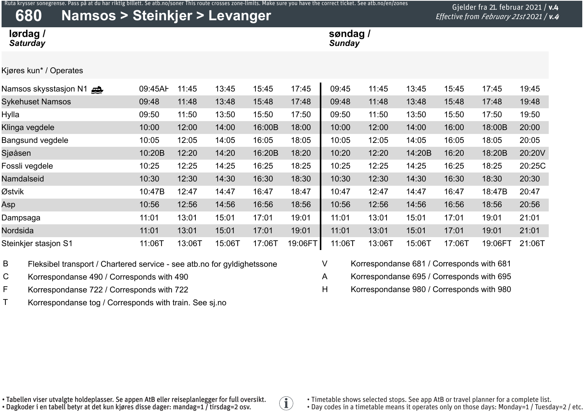| Ruta krysser sonegrense. Pass på at du har riktig billett. Se atb.no/soner This route crosses zone-limits. Make sure you have the correct ticket. See atb.no/en/zones<br>680<br>Namsos > Steinkjer > Levanger |         |                    |        |        |         |        |        |        |                                           | Gjelder fra 21. februar 2021 / v.4<br>Effective from February 21st 2021 / v.4 |        |  |  |
|---------------------------------------------------------------------------------------------------------------------------------------------------------------------------------------------------------------|---------|--------------------|--------|--------|---------|--------|--------|--------|-------------------------------------------|-------------------------------------------------------------------------------|--------|--|--|
| lørdag /<br><b>Saturday</b>                                                                                                                                                                                   |         | søndag /<br>Sunday |        |        |         |        |        |        |                                           |                                                                               |        |  |  |
| Kjøres kun* / Operates                                                                                                                                                                                        |         |                    |        |        |         |        |        |        |                                           |                                                                               |        |  |  |
| Namsos skysstasjon N1                                                                                                                                                                                         | 09:45AH | 11:45              | 13:45  | 15:45  | 17:45   | 09:45  | 11:45  | 13:45  | 15:45                                     | 17:45                                                                         | 19:45  |  |  |
| <b>Sykehuset Namsos</b>                                                                                                                                                                                       | 09:48   | 11:48              | 13:48  | 15:48  | 17:48   | 09:48  | 11:48  | 13:48  | 15:48                                     | 17:48                                                                         | 19:48  |  |  |
| Hylla                                                                                                                                                                                                         | 09:50   | 11:50              | 13:50  | 15:50  | 17:50   | 09:50  | 11:50  | 13:50  | 15:50                                     | 17:50                                                                         | 19:50  |  |  |
| Klinga vegdele                                                                                                                                                                                                | 10:00   | 12:00              | 14:00  | 16:00B | 18:00   | 10:00  | 12:00  | 14:00  | 16:00                                     | 18:00B                                                                        | 20:00  |  |  |
| Bangsund vegdele                                                                                                                                                                                              | 10:05   | 12:05              | 14:05  | 16:05  | 18:05   | 10:05  | 12:05  | 14:05  | 16:05                                     | 18:05                                                                         | 20:05  |  |  |
| Sjøåsen                                                                                                                                                                                                       | 10:20B  | 12:20              | 14:20  | 16:20B | 18:20   | 10:20  | 12:20  | 14:20B | 16:20                                     | 18:20B                                                                        | 20:20V |  |  |
| Fossli vegdele                                                                                                                                                                                                | 10:25   | 12:25              | 14:25  | 16:25  | 18:25   | 10:25  | 12:25  | 14:25  | 16:25                                     | 18:25                                                                         | 20:25C |  |  |
| Namdalseid                                                                                                                                                                                                    | 10:30   | 12:30              | 14:30  | 16:30  | 18:30   | 10:30  | 12:30  | 14:30  | 16:30                                     | 18:30                                                                         | 20:30  |  |  |
| Østvik                                                                                                                                                                                                        | 10:47B  | 12:47              | 14:47  | 16:47  | 18:47   | 10:47  | 12:47  | 14:47  | 16:47                                     | 18:47B                                                                        | 20:47  |  |  |
| Asp                                                                                                                                                                                                           | 10:56   | 12:56              | 14:56  | 16:56  | 18:56   | 10:56  | 12:56  | 14:56  | 16:56                                     | 18:56                                                                         | 20:56  |  |  |
| Dampsaga                                                                                                                                                                                                      | 11:01   | 13:01              | 15:01  | 17:01  | 19:01   | 11:01  | 13:01  | 15:01  | 17:01                                     | 19:01                                                                         | 21:01  |  |  |
| Nordsida                                                                                                                                                                                                      | 11:01   | 13:01              | 15:01  | 17:01  | 19:01   | 11:01  | 13:01  | 15:01  | 17:01                                     | 19:01                                                                         | 21:01  |  |  |
| Steinkjer stasjon S1                                                                                                                                                                                          | 11:06T  | 13:06T             | 15:06T | 17:06T | 19:06FT | 11:06T | 13:06T | 15:06T | 17:06T                                    | 19:06FT                                                                       | 21:06T |  |  |
| B<br>Fleksibel transport / Chartered service - see atb.no for gyldighetssone                                                                                                                                  |         |                    |        |        |         | V      |        |        | Korrespondanse 681 / Corresponds with 681 |                                                                               |        |  |  |

 $\mathbf{\widehat{1}}$ 

- C Korrespondanse 490 / Corresponds with 490
- F Korrespondanse 722 / Corresponds with 722
- T Korrespondanse tog / Corresponds with train. See sj.no
- A Korrespondanse 695 / Corresponds with 695
- H Korrespondanse 980 / Corresponds with 980

• Tabellen viser utvalgte holdeplasser. Se appen AtB eller reiseplanlegger for full oversikt. • Dagkoder i en tabell betyr at det kun kjøres disse dager: mandag=1 / tirsdag=2 osv.

• Timetable shows selected stops. See app AtB or travel planner for a complete list. • Day codes in a timetable means it operates only on those days: Monday=1 / Tuesday=2 / etc.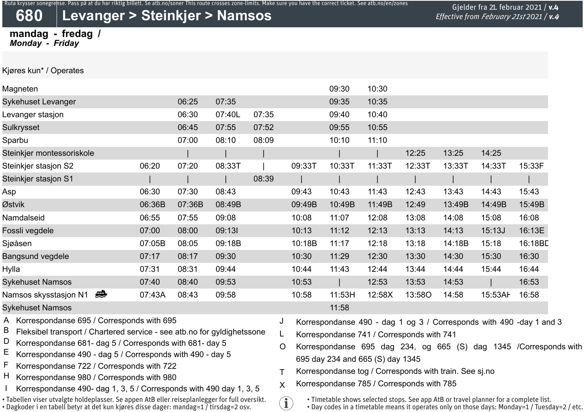# **680 Levanger > Steinkjer > Namsos**

### **mandag - fredag /** *Monday - Friday*

Kjøres kun\* / Operates

| Magneten                                                       |        |        |        |       |        | 09:30  | 10:30  |        |        |         |         |
|----------------------------------------------------------------|--------|--------|--------|-------|--------|--------|--------|--------|--------|---------|---------|
| Sykehuset Levanger                                             |        | 06:25  | 07:35  |       |        | 09:35  | 10:35  |        |        |         |         |
| Levanger stasjon                                               |        | 06:30  | 07:40L | 07:35 |        | 09:40  | 10:40  |        |        |         |         |
| Sulkrysset                                                     |        | 06:45  | 07:55  | 07:52 |        | 09:55  | 10:55  |        |        |         |         |
| Sparbu                                                         |        | 07:00  | 08:10  | 08:09 |        | 10:10  | 11:10  |        |        |         |         |
| Steinkjer montessoriskole                                      |        |        |        |       |        |        |        | 12:25  | 13:25  | 14:25   |         |
| Steinkjer stasjon S2                                           | 06:20  | 07:20  | 08:33T |       | 09:33T | 10:33T | 11:33T | 12:33T | 13:33T | 14:33T  | 15:33F  |
| Steinkjer stasjon S1                                           |        |        |        | 08:39 |        |        |        |        |        |         |         |
| Asp                                                            | 06:30  | 07:30  | 08:43  |       | 09:43  | 10:43  | 11:43  | 12:43  | 13:43  | 14:43   | 15:43   |
| Østvik                                                         | 06:36B | 07:36B | 08:49B |       | 09:49B | 10:49B | 11:49B | 12:49  | 13:49B | 14:49B  | 15:49B  |
| Namdalseid                                                     | 06:55  | 07:55  | 09:08  |       | 10:08  | 11:07  | 12:08  | 13:08  | 14:08  | 15:08   | 16:08   |
| Fossli vegdele                                                 | 07:00  | 08:00  | 09:131 |       | 10:13  | 11:12  | 12:13  | 13:13  | 14:13  | 15:13J  | 16:13E  |
| Sjøåsen                                                        | 07:05B | 08:05  | 09:18B |       | 10:18B | 11:17  | 12:18  | 13:18  | 14:18B | 15:18   | 16:18BL |
| <b>Bangsund vegdele</b>                                        | 07:17  | 08:17  | 09:30  |       | 10:30  | 11:29  | 12:30  | 13:30  | 14:30  | 15:30   | 16:30   |
| Hylla                                                          | 07:31  | 08:31  | 09:44  |       | 10:44  | 11:43  | 12:44  | 13:44  | 14:44  | 15:44   | 16:44   |
| <b>Sykehuset Namsos</b>                                        | 07:40  | 08:40  | 09:53  |       | 10:53  |        | 12:53  | 13:53  | 14:53  |         | 16:53   |
| ₩<br>Namsos skysstasjon N1                                     | 07:43A | 08:43  | 09:58  |       | 10:58  | 11:53H | 12:58X | 13:58O | 14:58  | 15:53AF | 16:58   |
| <b>Sykehuset Namsos</b>                                        |        |        |        |       |        | 11:58  |        |        |        |         |         |
| $\lambda$ is a contradely and the contradellation of $\lambda$ |        |        |        |       |        |        |        |        |        |         |         |

 $\mathbf{\widehat{1}}$ 

- A B Korrespondanse 695 / Corresponds with 695
- Fleksibel transport / Chartered service see atb.no for gyldighetssone
- D Korrespondanse 681- dag 5 / Corresponds with 681- day 5
- E Korrespondanse 490 - dag 5 / Corresponds with 490 - day 5
- F Korrespondanse 722 / Corresponds with 722
- Korrespondanse 980 / Corresponds with 980 H
- I Korrespondanse 490- dag 1, 3, 5 / Corresponds with 490 day 1, 3, 5
- Tabellen viser utvalgte holdeplasser. Se appen AtB eller reiseplanlegger for full oversikt.
- Dagkoder i en tabell betyr at det kun kjøres disse dager: mandag=1 / tirsdag=2 osv.
- J Korrespondanse 490 - dag 1 og 3 / Corresponds with 490 -day 1 and 3
- L Korrespondanse 741 / Corresponds with 741
- O Korrespondanse 695 dag 234, og 665 (S) dag 1345 /Corresponds with 695 day 234 and 665 (S) day 1345
- T Korrespondanse tog / Corresponds with train. See sj.no
- X Korrespondanse 785 / Corresponds with 785
	- Timetable shows selected stops. See app AtB or travel planner for a complete list.
	- Day codes in a timetable means it operates only on those days: Monday=1 / Tuesday=2 / etc.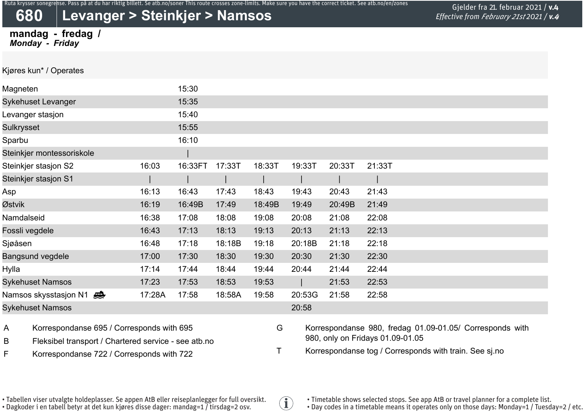## **680 Levanger > Steinkjer > Namsos**

#### **mandag - fredag /** *Monday - Friday*

Kjøres kun\* / Operates

| Norwal National Condition |        |         |        |        |        |        |        |
|---------------------------|--------|---------|--------|--------|--------|--------|--------|
| Magneten                  |        | 15:30   |        |        |        |        |        |
| Sykehuset Levanger        |        | 15:35   |        |        |        |        |        |
| Levanger stasjon          |        | 15:40   |        |        |        |        |        |
| Sulkrysset                |        | 15:55   |        |        |        |        |        |
| Sparbu                    |        | 16:10   |        |        |        |        |        |
| Steinkjer montessoriskole |        |         |        |        |        |        |        |
| Steinkjer stasjon S2      | 16:03  | 16:33FT | 17:33T | 18:33T | 19:33T | 20:33T | 21:33T |
| Steinkjer stasjon S1      |        |         |        |        |        |        |        |
| Asp                       | 16:13  | 16:43   | 17:43  | 18:43  | 19:43  | 20:43  | 21:43  |
| Østvik                    | 16:19  | 16:49B  | 17:49  | 18:49B | 19:49  | 20:49B | 21:49  |
| Namdalseid                | 16:38  | 17:08   | 18:08  | 19:08  | 20:08  | 21:08  | 22:08  |
| Fossli vegdele            | 16:43  | 17:13   | 18:13  | 19:13  | 20:13  | 21:13  | 22:13  |
| Sjøåsen                   | 16:48  | 17:18   | 18:18B | 19:18  | 20:18B | 21:18  | 22:18  |
| Bangsund vegdele          | 17:00  | 17:30   | 18:30  | 19:30  | 20:30  | 21:30  | 22:30  |
| Hylla                     | 17:14  | 17:44   | 18:44  | 19:44  | 20:44  | 21:44  | 22:44  |
| Sykehuset Namsos          | 17:23  | 17:53   | 18:53  | 19:53  |        | 21:53  | 22:53  |
| Namsos skysstasjon N1     | 17:28A | 17:58   | 18:58A | 19:58  | 20:53G | 21:58  | 22:58  |
| Sykehuset Namsos          |        |         |        |        | 20:58  |        |        |
|                           |        |         |        |        |        |        |        |

 $\mathbf{\widehat{1}}$ 

- A Korrespondanse 695 / Corresponds with 695
- B Fleksibel transport / Chartered service see atb.no
- F Korrespondanse 722 / Corresponds with 722
- G Korrespondanse 980, fredag 01.09-01.05/ Corresponds with 980, only on Fridays 01.09-01.05
- T Korrespondanse tog / Corresponds with train. See sj.no

• Tabellen viser utvalgte holdeplasser. Se appen AtB eller reiseplanlegger for full oversikt.

• Dagkoder i en tabell betyr at det kun kjøres disse dager: mandag=1 / tirsdag=2 osv.

- Timetable shows selected stops. See app AtB or travel planner for a complete list.
- Day codes in a timetable means it operates only on those days: Monday=1 / Tuesday=2 / etc.